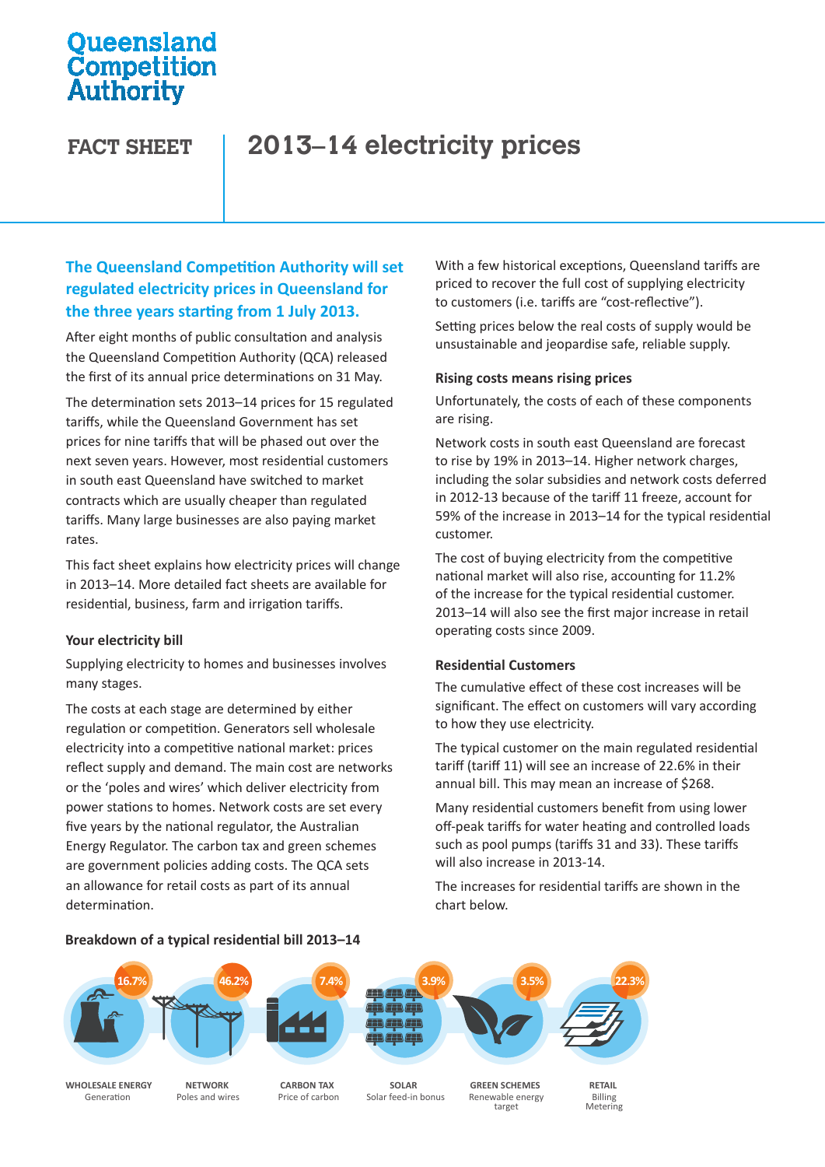## **Oueensland** Competition Authority

# **FACT SHEET 2013–14 electricity prices**

## **The Queensland Competition Authority will set regulated electricity prices in Queensland for the three years starting from 1 July 2013.**

After eight months of public consultation and analysis the Queensland Competition Authority (QCA) released the first of its annual price determinations on 31 May.

The determination sets 2013–14 prices for 15 regulated tariffs, while the Queensland Government has set prices for nine tariffs that will be phased out over the next seven years. However, most residential customers in south east Queensland have switched to market contracts which are usually cheaper than regulated tariffs. Many large businesses are also paying market rates.

This fact sheet explains how electricity prices will change in 2013–14. More detailed fact sheets are available for residential, business, farm and irrigation tariffs.

## **Your electricity bill**

Supplying electricity to homes and businesses involves many stages.

The costs at each stage are determined by either regulation or competition. Generators sell wholesale electricity into a competitive national market: prices reflect supply and demand. The main cost are networks or the 'poles and wires' which deliver electricity from power stations to homes. Network costs are set every five years by the national regulator, the Australian Energy Regulator. The carbon tax and green schemes are government policies adding costs. The QCA sets an allowance for retail costs as part of its annual determination.

With a few historical exceptions, Queensland tariffs are priced to recover the full cost of supplying electricity to customers (i.e. tariffs are "cost-reflective").

Setting prices below the real costs of supply would be unsustainable and jeopardise safe, reliable supply.

## **Rising costs means rising prices**

Unfortunately, the costs of each of these components are rising.

Network costs in south east Queensland are forecast to rise by 19% in 2013–14. Higher network charges, including the solar subsidies and network costs deferred in 2012-13 because of the tariff 11 freeze, account for 59% of the increase in 2013–14 for the typical residential customer.

The cost of buying electricity from the competitive national market will also rise, accounting for 11.2% of the increase for the typical residential customer. 2013–14 will also see the first major increase in retail operating costs since 2009.

## **Residential Customers**

The cumulative effect of these cost increases will be significant. The effect on customers will vary according to how they use electricity.

The typical customer on the main regulated residential tariff (tariff 11) will see an increase of 22.6% in their annual bill. This may mean an increase of \$268.

Many residential customers benefit from using lower off-peak tariffs for water heating and controlled loads such as pool pumps (tariffs 31 and 33). These tariffs will also increase in 2013-14.

The increases for residential tariffs are shown in the chart below.



**WHOLESALE ENERGY NETWORK CARBON TAX SOLAR GREEN SCHEMES RETAIL**<br>Generation Poles and wires Price of carbon Solar feed-in bonus Renewable energy Billing

Generation **Poles and wires** Price of carbon Solar feed-in bonus Renewable energy Billing

target

Metering